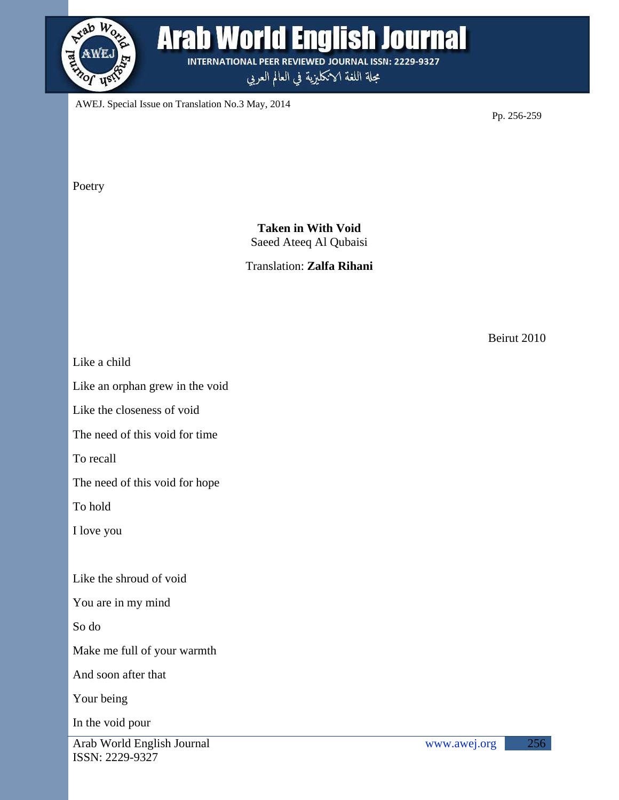

## **Arab World English Journal**

**INTERNATIONAL PEER REVIEWED JOURNAL ISSN: 2229-9327** 

مجلة اللغة الانكليزية في العالم العربي

AWEJ. Special Issue on Translation No.3 May, 2014

Pp. 256-259

Poetry

**Taken in With Void** Saeed Ateeq Al Qubaisi

Translation: **Zalfa Rihani**

Beirut 2010

Like a child

Like an orphan grew in the void

Like the closeness of void

The need of this void for time

To recall

The need of this void for hope

To hold

I love you

Like the shroud of void

You are in my mind

So do

Make me full of your warmth

And soon after that

Your being

In the void pour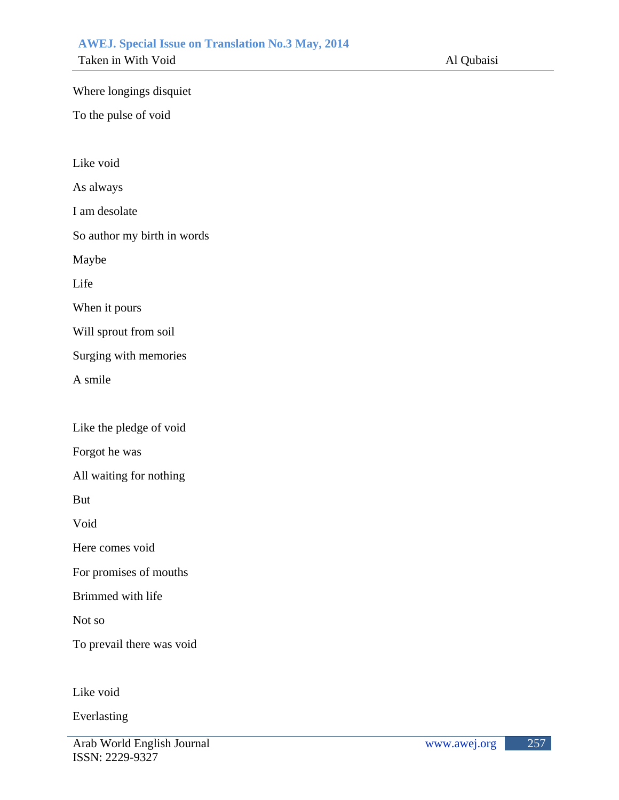## **AWEJ. Special Issue on Translation No.3 May, 2014**

 Taken in With Void Al Qubaisi

Where longings disquiet

To the pulse of void

Like void

As always

I am desolate

So author my birth in words

Maybe

Life

When it pours

Will sprout from soil

Surging with memories

A smile

Like the pledge of void

Forgot he was

All waiting for nothing

But

Void

Here comes void

For promises of mouths

Brimmed with life

Not so

To prevail there was void

Like void

Everlasting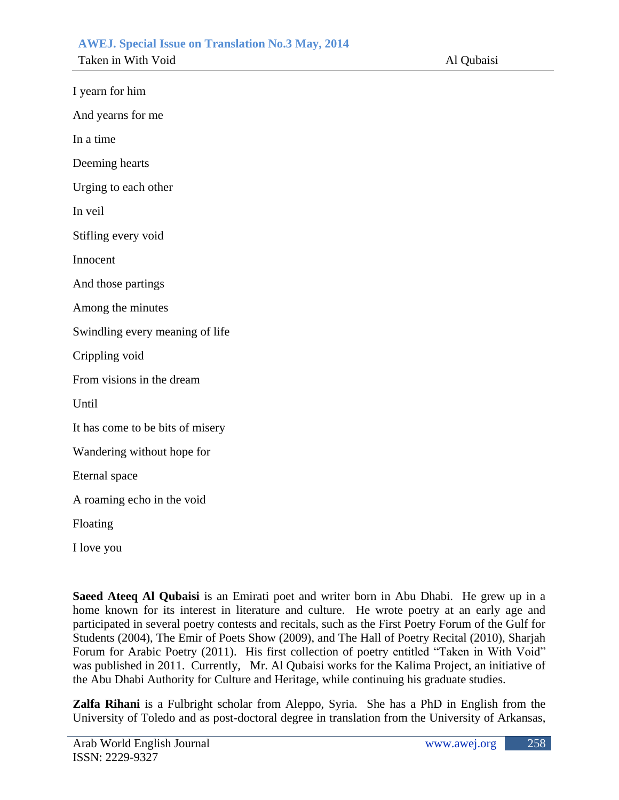| I yearn for him                  |  |  |
|----------------------------------|--|--|
| And yearns for me                |  |  |
| In a time                        |  |  |
| Deeming hearts                   |  |  |
| Urging to each other             |  |  |
| In veil                          |  |  |
| Stifling every void              |  |  |
| Innocent                         |  |  |
| And those partings               |  |  |
| Among the minutes                |  |  |
| Swindling every meaning of life  |  |  |
| Crippling void                   |  |  |
| From visions in the dream        |  |  |
| Until                            |  |  |
| It has come to be bits of misery |  |  |
| Wandering without hope for       |  |  |
| Eternal space                    |  |  |
| A roaming echo in the void       |  |  |
| Floating                         |  |  |
| I love you                       |  |  |

**Saeed Ateeq Al Qubaisi** is an Emirati poet and writer born in Abu Dhabi. He grew up in a home known for its interest in literature and culture. He wrote poetry at an early age and participated in several poetry contests and recitals, such as the First Poetry Forum of the Gulf for Students (2004), The Emir of Poets Show (2009), and The Hall of Poetry Recital (2010), Sharjah Forum for Arabic Poetry (2011). His first collection of poetry entitled "Taken in With Void" was published in 2011. Currently, Mr. Al Qubaisi works for the Kalima Project, an initiative of the Abu Dhabi Authority for Culture and Heritage, while continuing his graduate studies.

**Zalfa Rihani** is a Fulbright scholar from Aleppo, Syria. She has a PhD in English from the University of Toledo and as post-doctoral degree in translation from the University of Arkansas,